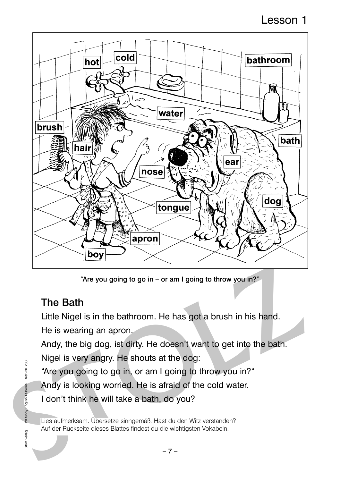## Lesson 1



"Are you going to go in – or am I going to throw you in?"

### The Bath

Little Nigel is in the bathroom. He has got a brush in his hand.

He is wearing an apron.

"The Bath"<br>
Streve you going to go in – or am I going to throw you in?"<br>
The Bath<br>
Little Nigel is in the bathroom. He has got a brush in his hand.<br>
He is wearing an apron.<br>
Andy, the big dog, ist dirty. He doesn't want to Andy, the big dog, ist dirty. He doesn't want to get into the bath. Nigel is very angry. He shouts at the dog:

"Are you going to go in, or am I going to throw you in?"

Andy is looking worried. He is afraid of the cold water.

I don't think he will take a bath, do you?

Lies aufmerksam. Übersetze sinngemäß. Hast du den Witz verstanden? Auf der Rückseite dieses Blattes findest du die wichtigsten Vokabeln.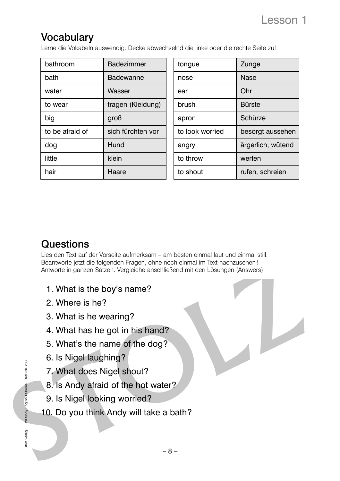# **Vocabulary**

Lerne die Vokabeln auswendig. Decke abwechselnd die linke oder die rechte Seite zu!

| Schürze           |
|-------------------|
| besorgt aussehen  |
| ärgerlich, wütend |
|                   |
| rufen, schreien   |
|                   |

### **Questions**

Summario parties Sident Vergleiche anschließend mit den Lösungen (Answers).<br>
1. What is the boy's name?<br>
2. Where is he?<br>
3. What is he wearing?<br>
4. What has he got in his hand?<br>
5. What's the name of the dog?<br>
6. Is Nigel Lies den Text auf der Vorseite aufmerksam – am besten einmal laut und einmal still. Beantworte jetzt die folgenden Fragen, ohne noch einmal im Text nachzusehen! Antworte in ganzen Sätzen. Vergleiche anschließend mit den Lösungen (Answers).

- 1. What is the boy's name?
- 2. Where is he?
- 3. What is he wearing?
- 4. What has he got in his hand?
- 5. What's the name of the dog?
- 6. Is Nigel laughing?
- 7. What does Nigel shout?
- 8. Is Andy afraid of the hot water?
- 9. Is Nigel looking worried?
- 10. Do you think Andy will take a bath?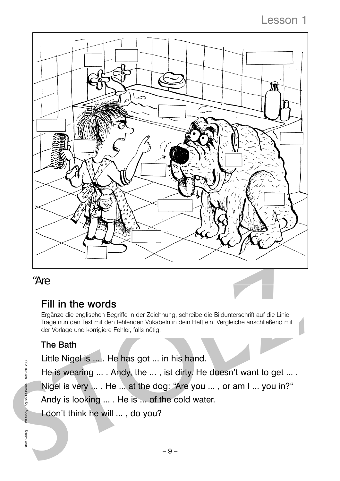## Lesson 1



#### "Are

### Fill in the words

**STOLER STOLER STOLER STOLER STOLER STOLER STOLER STOLER STOLER STOLER STOLER STOLER STOLER STOLER STOLER STOLER STOLER STOLER STOLER STOLER STOLER STOLER STOLER STOLER STOLER STOLER STOLER STOLER STOLER STOLER STOLER STO** Ergänze die englischen Begriffe in der Zeichnung, schreibe die Bildunterschrift auf die Linie. Trage nun den Text mit den fehlenden Vokabeln in dein Heft ein. Vergleiche anschließend mit der Vorlage und korrigiere Fehler, falls nötig.

#### The Bath

Little Nigel is ... . He has got ... in his hand.

He is wearing ... . Andy, the ... , ist dirty. He doesn't want to get ... . Nigel is very ... . He ... at the dog: "Are you ... , or am I ... you in?"

Andy is looking ... . He is ... of the cold water.

I don't think he will ... , do you?